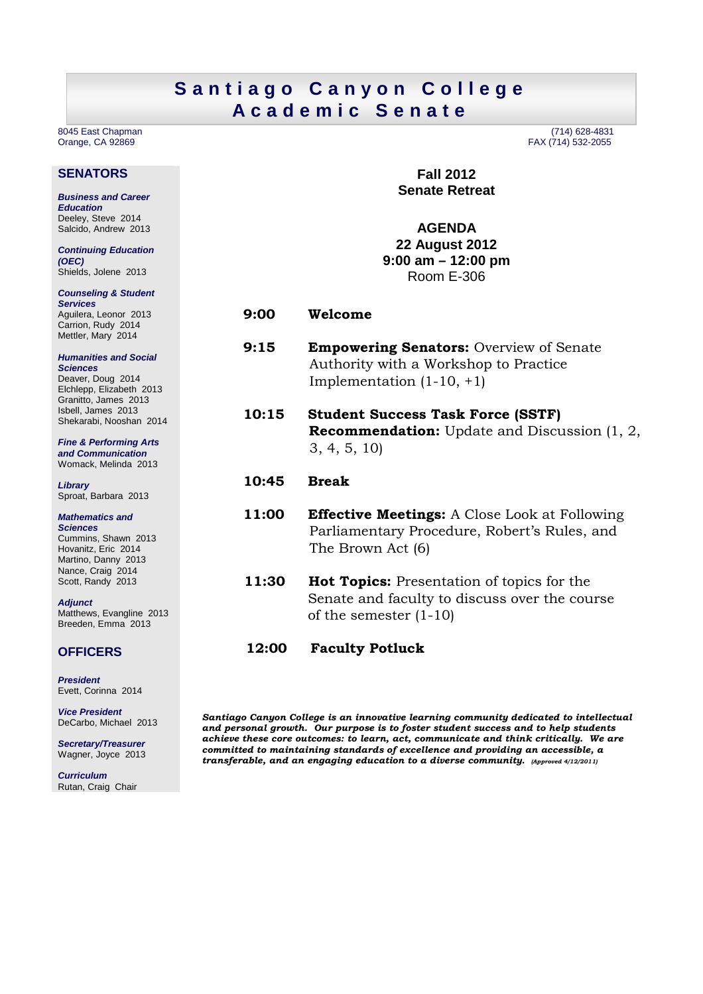## Santiago Canyon College **A c a d e m i c S e n a t e**

Orange, CA 92869

### **SENATORS**

**Business and Career Education**  Deeley, Steve 2014 Salcido, Andrew 2013

**Continuing Education (OEC)**  Shields, Jolene 2013

**Counseling & Student Services**  Aguilera, Leonor 2013 Carrion, Rudy 2014 Mettler, Mary 2014

**Humanities and Social Sciences**  Deaver, Doug 2014 Elchlepp, Elizabeth 2013 Granitto, James 2013 Isbell, James 2013 Shekarabi, Nooshan 2014

**Fine & Performing Arts and Communication**  Womack, Melinda 2013

**Library**  Sproat, Barbara 2013

**Mathematics and Sciences**  Cummins, Shawn 2013 Hovanitz, Eric 2014 Martino, Danny 2013 Nance, Craig 2014 Scott, Randy 2013

**Adjunct**  Matthews, Evangline 2013 Breeden, Emma 2013

**President**  Evett, Corinna 2014

**OFFICERS** 

**Vice President**  DeCarbo, Michael 2013

**Secretary/Treasurer**  Wagner, Joyce 2013

**Curriculum**  Rutan, Craig Chair

8045 East Chapman (714) 628-4831

**Fall 2012 Senate Retreat** 

**AGENDA 22 August 2012 9:00 am – 12:00 pm**  Room E-306

- **9:00 Welcome**
- **9:15 Empowering Senators:** Overview of Senate Authority with a Workshop to Practice Implementation (1-10, +1)
- **10:15 Student Success Task Force (SSTF) Recommendation:** Update and Discussion (1, 2, 3, 4, 5, 10)
- **10:45 Break**
- **11:00 Effective Meetings:** A Close Look at Following Parliamentary Procedure, Robert's Rules, and The Brown Act (6)
- **11:30 Hot Topics:** Presentation of topics for the Senate and faculty to discuss over the course of the semester (1-10)
- **12:00 Faculty Potluck**

*Santiago Canyon College is an innovative learning community dedicated to intellectual and personal growth. Our purpose is to foster student success and to help students achieve these core outcomes: to learn, act, communicate and think critically. We are committed to maintaining standards of excellence and providing an accessible, a transferable, and an engaging education to a diverse community. (Approved 4/12/2011)*